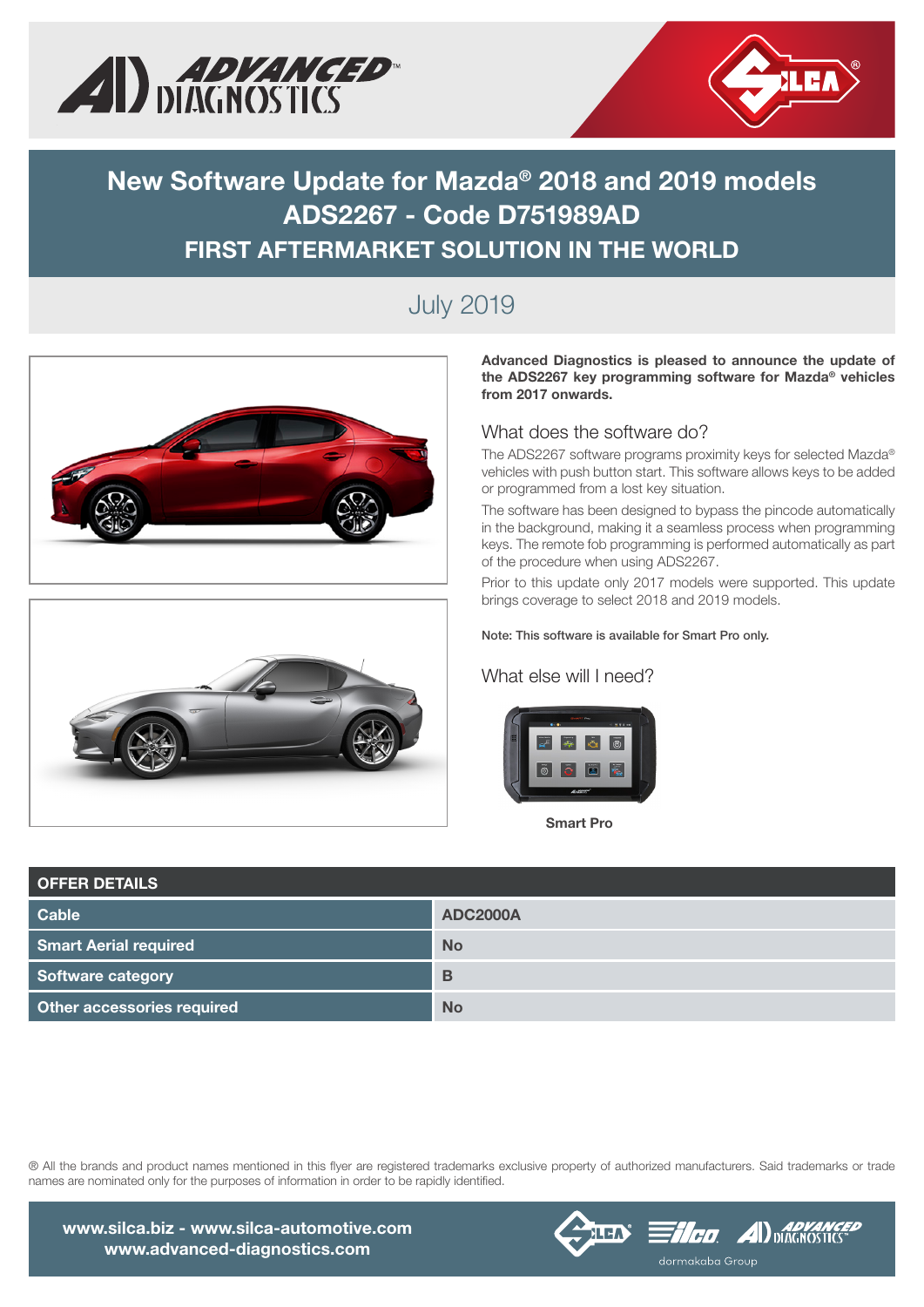



# New Software Update for Mazda® 2018 and 2019 models ADS2267 - Code D751989AD FIRST AFTERMARKET SOLUTION IN THE WORLD

# July 2019





Advanced Diagnostics is pleased to announce the update of the ADS2267 key programming software for Mazda® vehicles from 2017 onwards.

### What does the software do?

The ADS2267 software programs proximity keys for selected Mazda® vehicles with push button start. This software allows keys to be added or programmed from a lost key situation.

The software has been designed to bypass the pincode automatically in the background, making it a seamless process when programming keys. The remote fob programming is performed automatically as part of the procedure when using ADS2267.

Prior to this update only 2017 models were supported. This update brings coverage to select 2018 and 2019 models.

#### Note: This software is available for Smart Pro only.

### What else will I need?

![](_page_0_Picture_13.jpeg)

Smart Pro

| <b>OFFER DETAILS</b>         |                 |  |  |  |  |
|------------------------------|-----------------|--|--|--|--|
| <b>Cable</b>                 | <b>ADC2000A</b> |  |  |  |  |
| <b>Smart Aerial required</b> | <b>No</b>       |  |  |  |  |
| Software category            | B               |  |  |  |  |
| Other accessories required   | <b>No</b>       |  |  |  |  |

® All the brands and product names mentioned in this flyer are registered trademarks exclusive property of authorized manufacturers. Said trademarks or trade names are nominated only for the purposes of information in order to be rapidly identified.

![](_page_0_Picture_17.jpeg)

![](_page_0_Picture_18.jpeg)